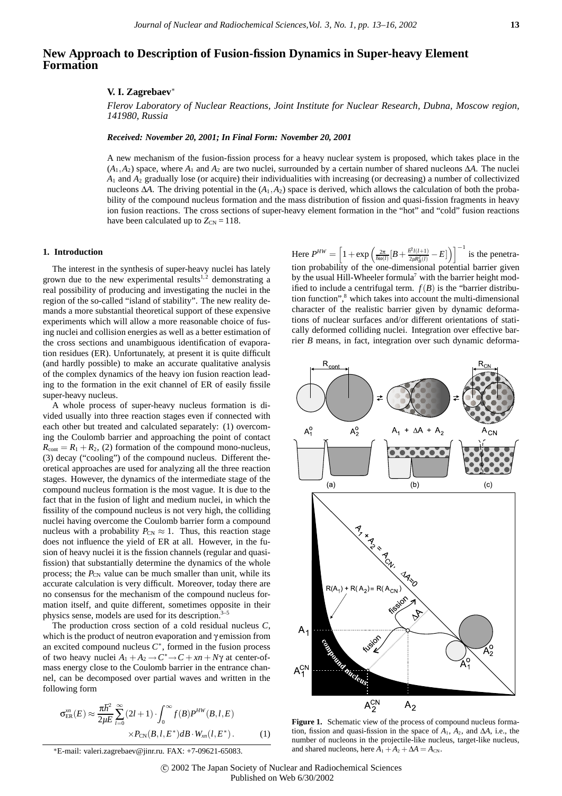# **New Approach to Description of Fusion-fission Dynamics in Super-heavy Element Formation**

### **V. I. Zagrebaev**<sup>∗</sup>

*Flerov Laboratory of Nuclear Reactions, Joint Institute for Nuclear Research, Dubna, Moscow region, 141980, Russia*

*Received: November 20, 2001; In Final Form: November 20, 2001*

A new mechanism of the fusion-fission process for a heavy nuclear system is proposed, which takes place in the  $(A_1, A_2)$  space, where  $A_1$  and  $A_2$  are two nuclei, surrounded by a certain number of shared nucleons  $\Delta A$ . The nuclei *A*<sup>1</sup> and *A*<sup>2</sup> gradually lose (or acquire) their individualities with increasing (or decreasing) a number of collectivized nucleons ∆*A*. The driving potential in the (*A*1,*A*2) space is derived, which allows the calculation of both the probability of the compound nucleus formation and the mass distribution of fission and quasi-fission fragments in heavy ion fusion reactions. The cross sections of super-heavy element formation in the "hot" and "cold" fusion reactions have been calculated up to  $Z_{CN} = 118$ .

## **1. Introduction**

The interest in the synthesis of super-heavy nuclei has lately grown due to the new experimental results<sup>1,2</sup> demonstrating a real possibility of producing and investigating the nuclei in the region of the so-called "island of stability". The new reality demands a more substantial theoretical support of these expensive experiments which will allow a more reasonable choice of fusing nuclei and collision energies as well as a better estimation of the cross sections and unambiguous identification of evaporation residues (ER). Unfortunately, at present it is quite difficult (and hardly possible) to make an accurate qualitative analysis of the complex dynamics of the heavy ion fusion reaction leading to the formation in the exit channel of ER of easily fissile super-heavy nucleus.

A whole process of super-heavy nucleus formation is divided usually into three reaction stages even if connected with each other but treated and calculated separately: (1) overcoming the Coulomb barrier and approaching the point of contact  $R_{\text{cont}} = R_1 + R_2$ , (2) formation of the compound mono-nucleus, (3) decay ("cooling") of the compound nucleus. Different theoretical approaches are used for analyzing all the three reaction stages. However, the dynamics of the intermediate stage of the compound nucleus formation is the most vague. It is due to the fact that in the fusion of light and medium nuclei, in which the fissility of the compound nucleus is not very high, the colliding nuclei having overcome the Coulomb barrier form a compound nucleus with a probability  $P_{CN} \approx 1$ . Thus, this reaction stage does not influence the yield of ER at all. However, in the fusion of heavy nuclei it is the fission channels (regular and quasifission) that substantially determine the dynamics of the whole process; the  $P_{CN}$  value can be much smaller than unit, while its accurate calculation is very difficult. Moreover, today there are no consensus for the mechanism of the compound nucleus formation itself, and quite different, sometimes opposite in their physics sense, models are used for its description.<sup>3–5</sup>

The production cross section of a cold residual nucleus *C*, which is the product of neutron evaporation and γ emission from an excited compound nucleus *C*∗, formed in the fusion process of two heavy nuclei  $A_1 + A_2 \rightarrow C^* \rightarrow C + xn + N\gamma$  at center-ofmass energy close to the Coulomb barrier in the entrance channel, can be decomposed over partial waves and written in the following form

$$
\sigma_{\text{ER}}^{m}(E) \approx \frac{\pi \hbar^2}{2\mu E} \sum_{l=0}^{\infty} (2l+1) \cdot \int_0^{\infty} f(B) P^{HW}(B, l, E) \times P_{\text{CN}}(B, l, E^*) dB \cdot W_m(l, E^*).
$$
 (1)

∗E-mail: valeri.zagrebaev@jinr.ru. FAX: +7-09621-65083.

 $\text{Here } P^{HW} = \left[1 + \exp\left(\frac{2\pi}{\hbar \omega(l)}[B + \frac{\hbar^2 l(l+1)}{2\mu R_B^2(l)}\right)\right]$  $\left[\frac{\bar{r}^2 l(l+1)}{2\mu R_B^2(l)} - E\right]$  is the penetration probability of the one-dimensional potential barrier given by the usual Hill-Wheeler formula<sup>7</sup> with the barrier height modified to include a centrifugal term.  $f(B)$  is the "barrier distribution function",<sup>8</sup> which takes into account the multi-dimensional character of the realistic barrier given by dynamic deformations of nuclear surfaces and/or different orientations of statically deformed colliding nuclei. Integration over effective barrier *B* means, in fact, integration over such dynamic deforma-



**Figure 1.** Schematic view of the process of compound nucleus formation, fission and quasi-fission in the space of  $A_1$ ,  $A_2$ , and  $\Delta A$ , i.e., the number of nucleons in the projectile-like nucleus, target-like nucleus, and shared nucleons, here  $A_1 + A_2 + \Delta A = A_{CN}$ .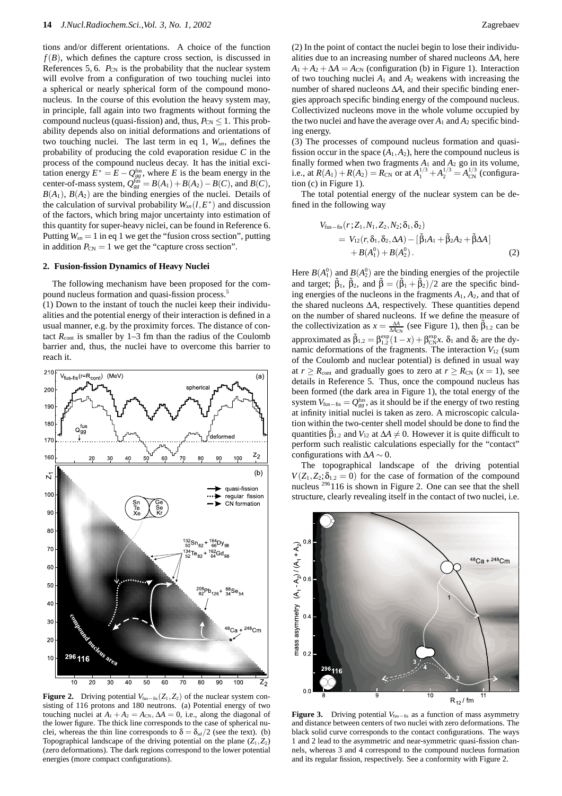tions and/or different orientations. A choice of the function  $f(B)$ , which defines the capture cross section, is discussed in References 5, 6.  $P_{CN}$  is the probability that the nuclear system will evolve from a configuration of two touching nuclei into a spherical or nearly spherical form of the compound mononucleus. In the course of this evolution the heavy system may, in principle, fall again into two fragments without forming the compound nucleus (quasi-fission) and, thus,  $P_{CN}$  < 1. This probability depends also on initial deformations and orientations of two touching nuclei. The last term in eq 1,  $W_{x}$ , defines the probability of producing the cold evaporation residue *C* in the process of the compound nucleus decay. It has the initial excitation energy  $E^* = E - Q_{gg}^{\text{fus}}$ , where *E* is the beam energy in the  $\text{center-of-mass system}, \ Q_{gg}^{\text{fus}} = B(A_1) + B(A_2) - B(C), \text{ and } B(C),$  $B(A_1)$ ,  $B(A_2)$  are the binding energies of the nuclei. Details of the calculation of survival probability  $W_{x}$  (*l*,  $E^*$ ) and discussion of the factors, which bring major uncertainty into estimation of this quantity for super-heavy niclei, can be found in Reference 6. Putting  $W_{x} = 1$  in eq 1 we get the "fusion cross section", putting in addition  $P_{CN} = 1$  we get the "capture cross section".

#### **2. Fusion-fission Dynamics of Heavy Nuclei**

The following mechanism have been proposed for the compound nucleus formation and quasi-fission process.5

(1) Down to the instant of touch the nuclei keep their individualities and the potential energy of their interaction is defined in a usual manner, e.g. by the proximity forces. The distance of contact  $R_{\text{cont}}$  is smaller by 1–3 fm than the radius of the Coulomb barrier and, thus, the nuclei have to overcome this barrier to reach it.



**Figure 2.** Driving potential  $V_{fus-fis}(Z_1, Z_2)$  of the nuclear system consisting of 116 protons and 180 neutrons. (a) Potential energy of two touching nuclei at  $A_1 + A_2 = A_{CN}$ ,  $\Delta A = 0$ , i.e., along the diagonal of the lower figure. The thick line corresponds to the case of spherical nuclei, whereas the thin line corresponds to  $\delta = \delta_{sd}/2$  (see the text). (b) Topographical landscape of the driving potential on the plane  $(Z_1, Z_2)$ (zero deformations). The dark regions correspond to the lower potential energies (more compact configurations).

(2) In the point of contact the nuclei begin to lose their individualities due to an increasing number of shared nucleons ∆*A*, here  $A_1 + A_2 + \Delta A = A_{CN}$  (configuration (b) in Figure 1). Interaction of two touching nuclei  $A_1$  and  $A_2$  weakens with increasing the number of shared nucleons ∆*A*, and their specific binding energies approach specific binding energy of the compound nucleus. Collectivized nucleons move in the whole volume occupied by the two nuclei and have the average over  $A_1$  and  $A_2$  specific binding energy.

(3) The processes of compound nucleus formation and quasifission occur in the space  $(A_1, A_2)$ , here the compound nucleus is finally formed when two fragments  $A_1$  and  $A_2$  go in its volume, i.e., at  $R(A_1) + R(A_2) = R_{CN}$  or at  $A_1^{1/3} + A_2^{1/3} = A_{CN}^{1/3}$  (configuration (c) in Figure 1).

The total potential energy of the nuclear system can be defined in the following way

$$
V_{\text{fus}-\hat{\text{ns}}}(r; Z_1, N_1, Z_2, N_2; \delta_1, \delta_2) = V_{12}(r, \delta_1, \delta_2, \Delta A) - [\tilde{\beta}_1 A_1 + \tilde{\beta}_2 A_2 + \tilde{\beta} \Delta A] + B(A_1^0) + B(A_2^0).
$$
 (2)

Here  $B(A_1^0)$  and  $B(A_2^0)$  are the binding energies of the projectile and target;  $\tilde{\beta}_1$ ,  $\tilde{\beta}_2$ , and  $\tilde{\beta} = (\tilde{\beta}_1 + \tilde{\beta}_2)/2$  are the specific binding energies of the nucleons in the fragments  $A_1$ ,  $A_2$ , and that of the shared nucleons ∆*A*, respectively. These quantities depend on the number of shared nucleons. If we define the measure of the collectivization as  $x = \frac{\Delta A}{\Delta A_{CN}}$  (see Figure 1), then  $\tilde{\beta}_{1,2}$  can be approximated as  $\tilde{\beta}_{1,2} = \beta_{1,2}^{\text{exp}}(1-x) + \beta_{\text{CN}}^{\text{exp}}x$ .  $\delta_1$  and  $\delta_2$  are the dynamic deformations of the fragments. The interaction  $V_{12}$  (sum of the Coulomb and nuclear potential) is defined in usual way at  $r > R_{\text{cont}}$  and gradually goes to zero at  $r > R_{\text{CN}}$  ( $x = 1$ ), see details in Reference 5. Thus, once the compound nucleus has been formed (the dark area in Figure 1), the total energy of the system  $V_{\text{fus}-\text{fis}} = Q_{gg}^{\text{fus}}$ , as it should be if the energy of two resting at infinity initial nuclei is taken as zero. A microscopic calculation within the two-center shell model should be done to find the quantities  $\tilde{\beta}_{1,2}$  and  $V_{12}$  at  $\Delta A \neq 0$ . However it is quite difficult to perform such realistic calculations especially for the "contact" configurations with  $\Delta A \sim 0$ .

The topographical landscape of the driving potential  $V(Z_1, Z_2; \delta_{1,2} = 0)$  for the case of formation of the compound nucleus <sup>296</sup>116 is shown in Figure 2. One can see that the shell structure, clearly revealing itself in the contact of two nuclei, i.e.



**Figure 3.** Driving potential  $V_{fus−fis}$  as a function of mass asymmetry and distance between centers of two nuclei with zero deformations. The black solid curve corresponds to the contact configurations. The ways 1 and 2 lead to the asymmetric and near-symmetric quasi-fission channels, whereas 3 and 4 correspond to the compound nucleus formation and its regular fission, respectively. See a conformity with Figure 2.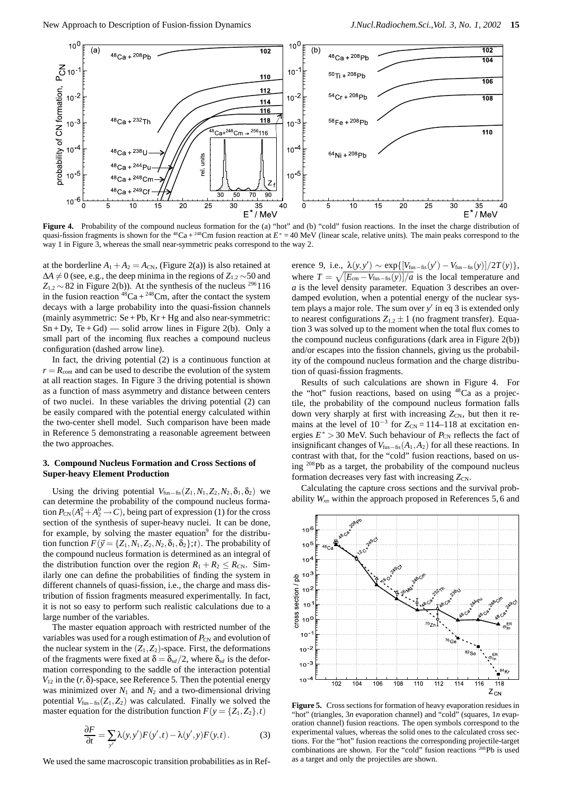

Figure 4. Probability of the compound nucleus formation for the (a) "hot" and (b) "cold" fusion reactions. In the inset the charge distribution of quasi-fission fragments is shown for the <sup>48</sup>Ca + <sup>248</sup>Cm fusion reaction at  $E^* = 40 \text{ MeV}$  (linear scale, relative units). The main peaks correspond to the way 1 in Figure 3, whereas the small near-symmetric peaks correspond to the way 2.

at the borderline  $A_1 + A_2 = A_{CN}$ , (Figure 2(a)) is also retained at  $\Delta A \neq 0$  (see, e.g., the deep minima in the regions of  $Z_{1,2} \sim 50$  and  $Z_{12} \sim 82$  in Figure 2(b)). At the synthesis of the nucleus <sup>296</sup>116 in the fusion reaction  ${}^{48}Ca + {}^{248}Cm$ , after the contact the system decays with a large probability into the quasi-fission channels (mainly asymmetric:  $Se + Pb$ ,  $Kr + Hg$  and also near-symmetric:  $Sn + Dy$ ,  $Te + Gd$ ) — solid arrow lines in Figure 2(b). Only a small part of the incoming flux reaches a compound nucleus configuration (dashed arrow line).

In fact, the driving potential (2) is a continuous function at  $r = R_{\text{cont}}$  and can be used to describe the evolution of the system at all reaction stages. In Figure 3 the driving potential is shown as a function of mass asymmetry and distance between centers of two nuclei. In these variables the driving potential (2) can be easily compared with the potential energy calculated within the two-center shell model. Such comparison have been made in Reference 5 demonstrating a reasonable agreement between the two approaches.

## **3. Compound Nucleus Formation and Cross Sections of Super-heavy Element Production**

Using the driving potential  $V_{fus-fis}(Z_1,N_1,Z_2,N_2,\delta_1,\delta_2)$  we can determine the probability of the compound nucleus formation  $P_{\text{CN}}(A_1^0 + A_2^0 \rightarrow C)$ , being part of expression (1) for the cross section of the synthesis of super-heavy nuclei. It can be done, for example, by solving the master equation $\degree$  for the distribution function  $F(\vec{y} = \{Z_1, N_1, Z_2, N_2, \delta_1, \delta_2\}; t)$ . The probability of the compound nucleus formation is determined as an integral of the distribution function over the region  $R_1 + R_2 \le R_{CN}$ . Similarly one can define the probabilities of finding the system in different channels of quasi-fission, i.e., the charge and mass distribution of fission fragments measured experimentally. In fact, it is not so easy to perform such realistic calculations due to a large number of the variables.

The master equation approach with restricted number of the variables was used for a rough estimation of  $P_{CN}$  and evolution of the nuclear system in the  $(Z_1, Z_2)$ -space. First, the deformations of the fragments were fixed at  $\delta = \delta_{sd}/2$ , where  $\delta_{sd}$  is the deformation corresponding to the saddle of the interaction potential *V*<sup>12</sup> in the (*r*,δ)-space, see Reference 5. Then the potential energy was minimized over  $N_1$  and  $N_2$  and a two-dimensional driving potential  $V_{\text{fus}-\text{fis}}(Z_1, Z_2)$  was calculated. Finally we solved the master equation for the distribution function  $F(y = \{Z_1, Z_2\}, t)$ 

$$
\frac{\partial F}{\partial t} = \sum_{y'} \lambda(y, y') F(y', t) - \lambda(y', y) F(y, t).
$$
 (3)

We used the same macroscopic transition probabilities as in Ref-

erence 9, i.e.,  $\frac{\lambda(y, y')}{\lambda \exp{([V_{\text{fus}-\text{fis}}(y') - V_{\text{fus}-\text{fis}}(y)]}}/{2T(y)}$ , where  $T = \sqrt{[E_{\rm cm} - V_{\rm fus-fis}(y)]/a}$  is the local temperature and *a* is the level density parameter. Equation 3 describes an overdamped evolution, when a potential energy of the nuclear system plays a major role. The sum over *y* in eq 3 is extended only to nearest configurations  $Z_{1,2} \pm 1$  (no fragment transfer). Equation 3 was solved up to the moment when the total flux comes to the compound nucleus configurations (dark area in Figure 2(b)) and/or escapes into the fission channels, giving us the probability of the compound nucleus formation and the charge distribution of quasi-fission fragments.

Results of such calculations are shown in Figure 4. For the "hot" fusion reactions, based on using <sup>48</sup>Ca as a projectile, the probability of the compound nucleus formation falls down very sharply at first with increasing  $Z_{CN}$ , but then it remains at the level of  $10^{-3}$  for  $Z_{CN} = 114-118$  at excitation energies  $E^* > 30$  MeV. Such behaviour of  $P_{CN}$  reflects the fact of insignificant changes of  $V_{\text{fus}-\text{fis}}(A_1, A_2)$  for all these reactions. In contrast with that, for the "cold" fusion reactions, based on using 208Pb as a target, the probability of the compound nucleus formation decreases very fast with increasing  $Z_{CN}$ .

Calculating the capture cross sections and the survival probability *Wxn* within the approach proposed in References 5, 6 and



**Figure 5.** Cross sections for formation of heavy evaporation residues in "hot" (triangles, 3*n* evaporation channel) and "cold" (squares, 1*n* evaporation channel) fusion reactions. The open symbols correspond to the experimental values, whereas the solid ones to the calculated cross sections. For the "hot" fusion reactions the corresponding projectile-target combinations are shown. For the "cold" fusion reactions 208Pb is used as a target and only the projectiles are shown.